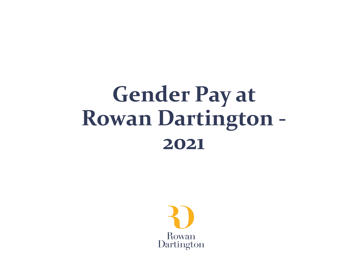# **Gender Pay at Rowan Dartington - 2021**

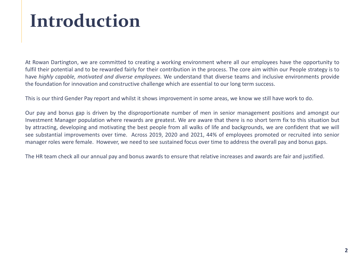## **Introduction**

At Rowan Dartington, we are committed to creating a working environment where all our employees have the opportunity to fulfil their potential and to be rewarded fairly for their contribution in the process. The core aim within our People strategy is to have *highly capable, motivated and diverse employees.* We understand that diverse teams and inclusive environments provide the foundation for innovation and constructive challenge which are essential to our long term success.

This is our third Gender Pay report and whilst it shows improvement in some areas, we know we still have work to do.

Our pay and bonus gap is driven by the disproportionate number of men in senior management positions and amongst our Investment Manager population where rewards are greatest. We are aware that there is no short term fix to this situation but by attracting, developing and motivating the best people from all walks of life and backgrounds, we are confident that we will see substantial improvements over time. Across 2019, 2020 and 2021, 44% of employees promoted or recruited into senior manager roles were female. However, we need to see sustained focus over time to address the overall pay and bonus gaps.

The HR team check all our annual pay and bonus awards to ensure that relative increases and awards are fair and justified.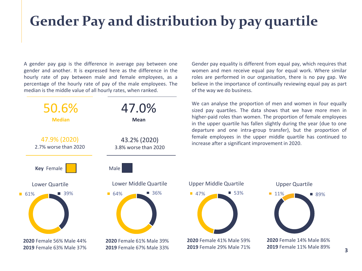### **Gender Pay and distribution by pay quartile**

A gender pay gap is the difference in average pay between one gender and another. It is expressed here as the difference in the hourly rate of pay between male and female employees, as a percentage of the hourly rate of pay of the male employees. The median is the middle value of all hourly rates, when ranked.



Gender pay equality is different from equal pay, which requires that women and men receive equal pay for equal work. Where similar roles are performed in our organisation, there is no pay gap. We believe in the importance of continually reviewing equal pay as part of the way we do business.

We can analyse the proportion of men and women in four equally sized pay quartiles. The data shows that we have more men in higher-paid roles than women. The proportion of female employees in the upper quartile has fallen slightly during the year (due to one departure and one intra-group transfer), but the proportion of female employees in the upper middle quartile has continued to increase after a significant improvement in 2020.



**3**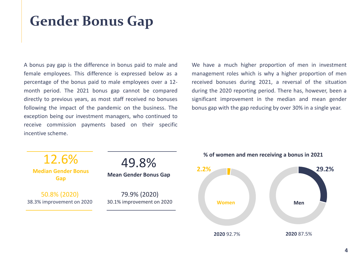### **Gender Bonus Gap**

A bonus pay gap is the difference in bonus paid to male and female employees. This difference is expressed below as a percentage of the bonus paid to male employees over a 12 month period. The 2021 bonus gap cannot be compared directly to previous years, as most staff received no bonuses following the impact of the pandemic on the business. The exception being our investment managers, who continued to receive commission payments based on their specific incentive scheme.

We have a much higher proportion of men in investment management roles which is why a higher proportion of men received bonuses during 2021, a reversal of the situation during the 2020 reporting period. There has, however, been a significant improvement in the median and mean gender bonus gap with the gap reducing by over 30% in a single year.





#### **% of women and men receiving a bonus in 2021**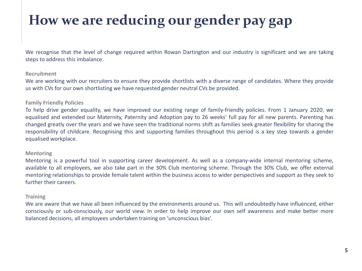### **How we are reducing our gender pay gap**

We recognise that the level of change required within Rowan Dartington and our industry is significant and we are taking steps to address this imbalance.

#### **Recruitment**

We are working with our recruiters to ensure they provide shortlists with a diverse range of candidates. Where they provide us with CVs for our own shortlisting we have requested gender neutral CVs be provided.

#### **Family Friendly Policies**

To help drive gender equality, we have improved our existing range of family-friendly policies. From 1 January 2020, we equalised and extended our Maternity, Paternity and Adoption pay to 26 weeks' full pay for all new parents. Parenting has changed greatly over the years and we have seen the traditional norms shift as families seek greater flexibility for sharing the responsibility of childcare. Recognising this and supporting families throughout this period is a key step towards a gender equalised workplace.

#### **Mentoring**

Mentoring is a powerful tool in supporting career development. As well as a company-wide internal mentoring scheme, available to all employees, we also take part in the 30% Club mentoring scheme. Through the 30% Club, we offer external mentoring relationships to provide female talent within the business access to wider perspectives and support as they seek to further their careers.

#### **Training**

We are aware that we have all been influenced by the environments around us. This will undoubtedly have influenced, either consciously or sub-consciously, our world view. In order to help improve our own self awareness and make better more balanced decisions, all employees undertaken training on 'unconscious bias'.